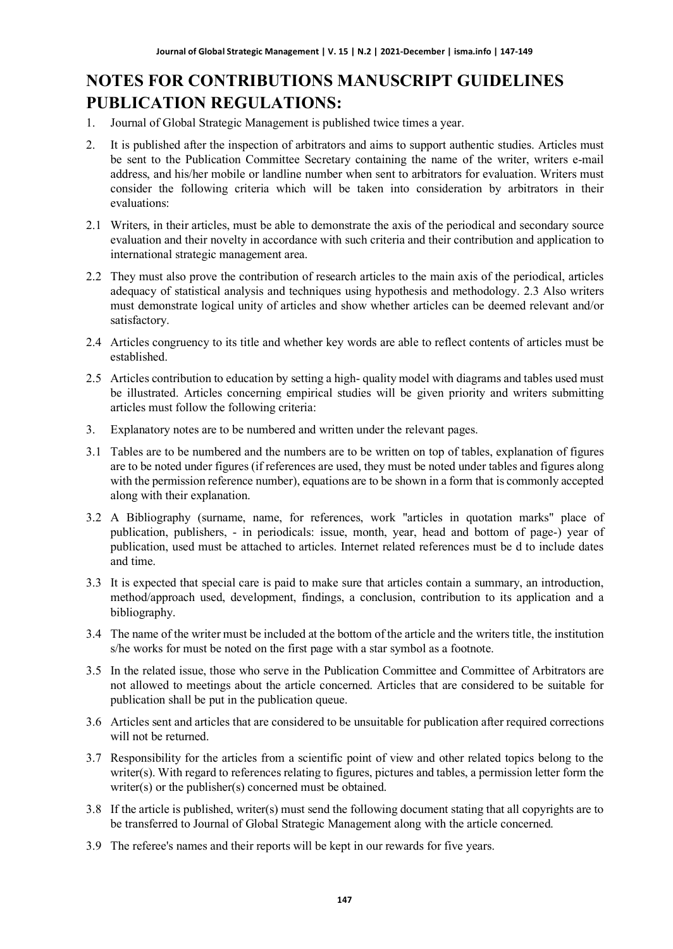# **NOTES FOR CONTRIBUTIONS MANUSCRIPT GUIDELINES PUBLICATION REGULATIONS:**

- 1. Journal of Global Strategic Management is published twice times a year.
- 2. It is published after the inspection of arbitrators and aims to support authentic studies. Articles must be sent to the Publication Committee Secretary containing the name of the writer, writers e-mail address, and his/her mobile or landline number when sent to arbitrators for evaluation. Writers must consider the following criteria which will be taken into consideration by arbitrators in their evaluations:
- 2.1 Writers, in their articles, must be able to demonstrate the axis of the periodical and secondary source evaluation and their novelty in accordance with such criteria and their contribution and application to international strategic management area.
- 2.2 They must also prove the contribution of research articles to the main axis of the periodical, articles adequacy of statistical analysis and techniques using hypothesis and methodology. 2.3 Also writers must demonstrate logical unity of articles and show whether articles can be deemed relevant and/or satisfactory.
- 2.4 Articles congruency to its title and whether key words are able to reflect contents of articles must be established.
- 2.5 Articles contribution to education by setting a high- quality model with diagrams and tables used must be illustrated. Articles concerning empirical studies will be given priority and writers submitting articles must follow the following criteria:
- 3. Explanatory notes are to be numbered and written under the relevant pages.
- 3.1 Tables are to be numbered and the numbers are to be written on top of tables, explanation of figures are to be noted under figures (if references are used, they must be noted under tables and figures along with the permission reference number), equations are to be shown in a form that is commonly accepted along with their explanation.
- 3.2 A Bibliography (surname, name, for references, work "articles in quotation marks" place of publication, publishers, - in periodicals: issue, month, year, head and bottom of page-) year of publication, used must be attached to articles. Internet related references must be d to include dates and time.
- 3.3 It is expected that special care is paid to make sure that articles contain a summary, an introduction, method/approach used, development, findings, a conclusion, contribution to its application and a bibliography.
- 3.4 The name of the writer must be included at the bottom of the article and the writers title, the institution s/he works for must be noted on the first page with a star symbol as a footnote.
- 3.5 In the related issue, those who serve in the Publication Committee and Committee of Arbitrators are not allowed to meetings about the article concerned. Articles that are considered to be suitable for publication shall be put in the publication queue.
- 3.6 Articles sent and articles that are considered to be unsuitable for publication after required corrections will not be returned.
- 3.7 Responsibility for the articles from a scientific point of view and other related topics belong to the writer(s). With regard to references relating to figures, pictures and tables, a permission letter form the writer(s) or the publisher(s) concerned must be obtained.
- 3.8 If the article is published, writer(s) must send the following document stating that all copyrights are to be transferred to Journal of Global Strategic Management along with the article concerned.
- 3.9 The referee's names and their reports will be kept in our rewards for five years.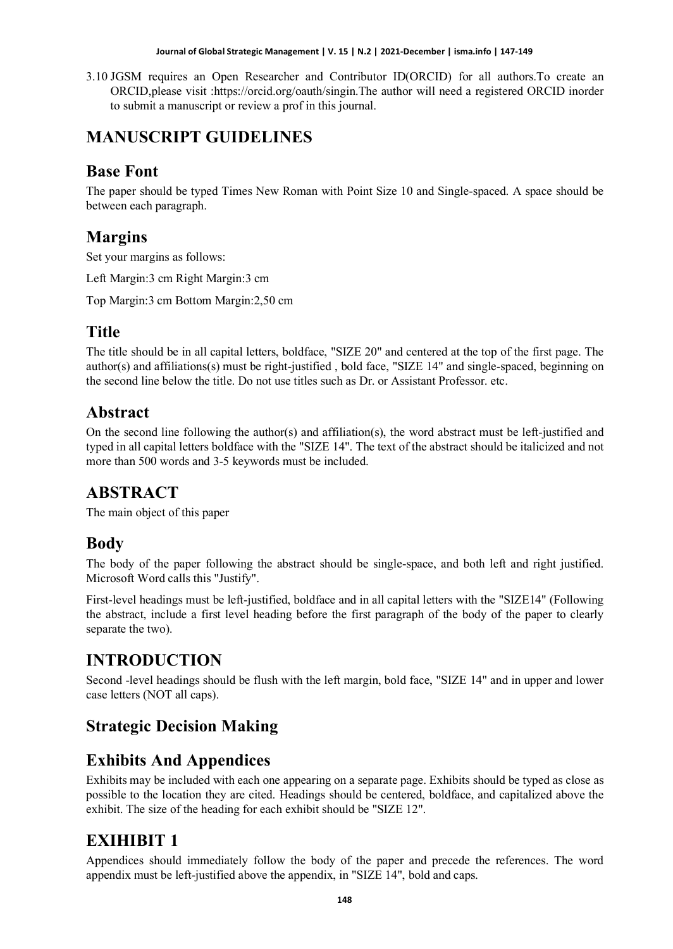#### **Journal of Global Strategic Management | V. 15 | N.2 | 2021-December | isma.info | 147-149**

3.10 JGSM requires an Open Researcher and Contributor ID(ORCID) for all authors.To create an ORCID,please visit :https://orcid.org/oauth/singin.The author will need a registered ORCID inorder to submit a manuscript or review a prof in this journal.

# **MANUSCRIPT GUIDELINES**

## **Base Font**

The paper should be typed Times New Roman with Point Size 10 and Single-spaced. A space should be between each paragraph.

#### **Margins**

Set your margins as follows:

Left Margin:3 cm Right Margin:3 cm

Top Margin:3 cm Bottom Margin:2,50 cm

## **Title**

The title should be in all capital letters, boldface, "SIZE 20" and centered at the top of the first page. The author(s) and affiliations(s) must be right-justified , bold face, "SIZE 14" and single-spaced, beginning on the second line below the title. Do not use titles such as Dr. or Assistant Professor. etc.

#### **Abstract**

On the second line following the author(s) and affiliation(s), the word abstract must be left-justified and typed in all capital letters boldface with the "SIZE 14". The text of the abstract should be italicized and not more than 500 words and 3-5 keywords must be included.

## **ABSTRACT**

The main object of this paper

## **Body**

The body of the paper following the abstract should be single-space, and both left and right justified. Microsoft Word calls this "Justify".

First-level headings must be left-justified, boldface and in all capital letters with the "SIZE14" (Following the abstract, include a first level heading before the first paragraph of the body of the paper to clearly separate the two).

# **INTRODUCTION**

Second -level headings should be flush with the left margin, bold face, "SIZE 14" and in upper and lower case letters (NOT all caps).

# **Strategic Decision Making**

# **Exhibits And Appendices**

Exhibits may be included with each one appearing on a separate page. Exhibits should be typed as close as possible to the location they are cited. Headings should be centered, boldface, and capitalized above the exhibit. The size of the heading for each exhibit should be "SIZE 12".

# **EXIHIBIT 1**

Appendices should immediately follow the body of the paper and precede the references. The word appendix must be left-justified above the appendix, in "SIZE 14", bold and caps.